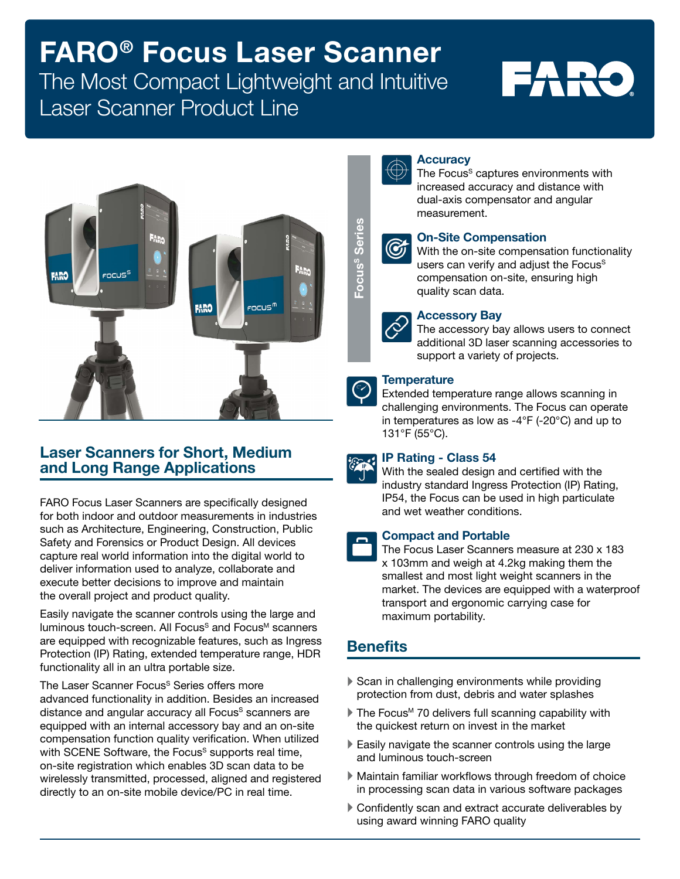# FARO® Focus Laser Scanner

## The Most Compact Lightweight and Intuitive Laser Scanner Product Line

# FARO



#### Laser Scanners for Short, Medium and Long Range Applications

FARO Focus Laser Scanners are specifically designed for both indoor and outdoor measurements in industries such as Architecture, Engineering, Construction, Public Safety and Forensics or Product Design. All devices capture real world information into the digital world to deliver information used to analyze, collaborate and execute better decisions to improve and maintain the overall project and product quality.

Easily navigate the scanner controls using the large and luminous touch-screen. All Focus<sup>S</sup> and Focus<sup>M</sup> scanners are equipped with recognizable features, such as Ingress Protection (IP) Rating, extended temperature range, HDR functionality all in an ultra portable size.

The Laser Scanner Focus<sup>S</sup> Series offers more advanced functionality in addition. Besides an increased distance and angular accuracy all Focus<sup>s</sup> scanners are equipped with an internal accessory bay and an on-site compensation function quality verification. When utilized with SCENE Software, the Focus<sup>S</sup> supports real time, on-site registration which enables 3D scan data to be wirelessly transmitted, processed, aligned and registered directly to an on-site mobile device/PC in real time.



#### **Accuracy**

The Focus<sup>s</sup> captures environments with increased accuracy and distance with dual-axis compensator and angular measurement.



#### On-Site Compensation

With the on-site compensation functionality users can verify and adjust the Focus<sup>s</sup> compensation on-site, ensuring high quality scan data.



#### Accessory Bay

The accessory bay allows users to connect additional 3D laser scanning accessories to support a variety of projects.

#### **Temperature**

Extended temperature range allows scanning in challenging environments. The Focus can operate in temperatures as low as -4°F (-20°C) and up to 131°F (55°C).



#### IP Rating - Class 54

With the sealed design and certified with the industry standard Ingress Protection (IP) Rating, IP54, the Focus can be used in high particulate and wet weather conditions.

#### Compact and Portable

The Focus Laser Scanners measure at 230 x 183 x 103mm and weigh at 4.2kg making them the smallest and most light weight scanners in the market. The devices are equipped with a waterproof transport and ergonomic carrying case for maximum portability. Using the Compensation of Site Compensation on-site compusers can verify and a compensation on-site quality scan data.<br>
The accessory Bay The accessory bay all additional 3D laser scan verify and a compensation on-site com

### **Benefits**

- Scan in challenging environments while providing protection from dust, debris and water splashes
- $\blacktriangleright$  The Focus<sup>M</sup> 70 delivers full scanning capability with the quickest return on invest in the market
- $\blacktriangleright$  Easily navigate the scanner controls using the large and luminous touch-screen
- ` Maintain familiar workflows through freedom of choice in processing scan data in various software packages
- Confidently scan and extract accurate deliverables by using award winning FARO quality